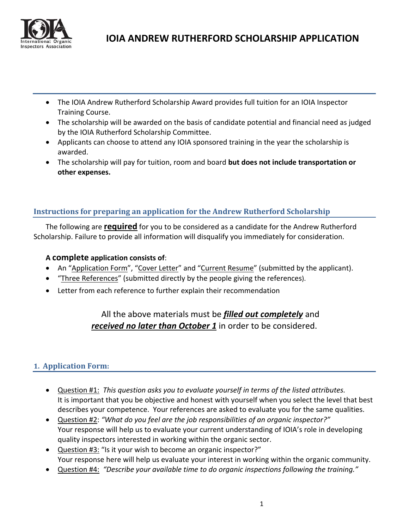

- The IOIA Andrew Rutherford Scholarship Award provides full tuition for an IOIA Inspector Training Course.
- The scholarship will be awarded on the basis of candidate potential and financial need as judged by the IOIA Rutherford Scholarship Committee.
- Applicants can choose to attend any IOIA sponsored training in the year the scholarship is awarded.
- The scholarship will pay for tuition, room and board **but does not include transportation or other expenses.**

# **Instructions for preparing an application for the Andrew Rutherford Scholarship**

The following are **required** for you to be considered as a candidate for the Andrew Rutherford Scholarship. Failure to provide all information will disqualify you immediately for consideration.

## **A complete application consists of**:

- An "Application Form", "Cover Letter" and "Current Resume" (submitted by the applicant).
- "Three References" (submitted directly by the people giving the references).
- Letter from each reference to further explain their recommendation

# All the above materials must be *filled out completely* and *received no later than October 1* in order to be considered.

# **1. Application Form:**

- Question #1: *This question asks you to evaluate yourself in terms of the listed attributes.* It is important that you be objective and honest with yourself when you select the level that best describes your competence. Your references are asked to evaluate you for the same qualities.
- Question #2: *"What do you feel are the job responsibilities of an organic inspector?"* Your response will help us to evaluate your current understanding of IOIA's role in developing quality inspectors interested in working within the organic sector.
- Question #3: "Is it your wish to become an organic inspector?" Your response here will help us evaluate your interest in working within the organic community.
- Question #4: *"Describe your available time to do organic inspections following the training."*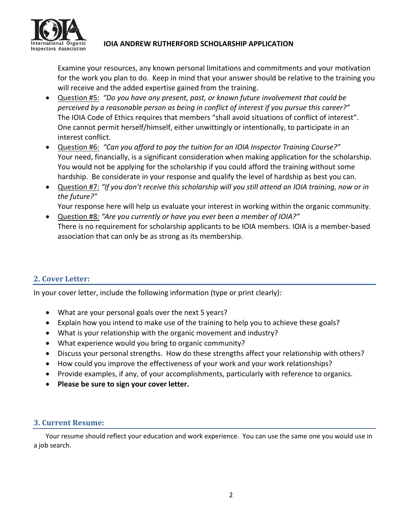

# International Organic **1014 ANDREW RUTHERFORD SCHOLARSHIP APPLICATION**

Examine your resources, any known personal limitations and commitments and your motivation for the work you plan to do. Keep in mind that your answer should be relative to the training you will receive and the added expertise gained from the training.

- Question #5: *"Do you have any present, past, or known future involvement that could be perceived by a reasonable person as being in conflict of interest if you pursue this career?"* The IOIA Code of Ethics requires that members "shall avoid situations of conflict of interest". One cannot permit herself/himself, either unwittingly or intentionally, to participate in an interest conflict.
- Question #6: *"Can you afford to pay the tuition for an IOIA Inspector Training Course?"* Your need, financially, is a significant consideration when making application for the scholarship. You would not be applying for the scholarship if you could afford the training without some hardship. Be considerate in your response and qualify the level of hardship as best you can.
- Question #7: *"If you don't receive this scholarship will you still attend an IOIA training, now or in the future?"*

Your response here will help us evaluate your interest in working within the organic community.

 Question #8*: "Are you currently or have you ever been a member of IOIA?"* There is no requirement for scholarship applicants to be IOIA members. IOIA is a member‐based association that can only be as strong as its membership.

## **2. Cover Letter:**

In your cover letter, include the following information (type or print clearly):

- What are your personal goals over the next 5 years?
- Explain how you intend to make use of the training to help you to achieve these goals?
- What is your relationship with the organic movement and industry?
- What experience would you bring to organic community?
- Discuss your personal strengths. How do these strengths affect your relationship with others?
- How could you improve the effectiveness of your work and your work relationships?
- Provide examples, if any, of your accomplishments, particularly with reference to organics.
- **Please be sure to sign your cover letter.**

## **3. Current Resume:**

Your resume should reflect your education and work experience. You can use the same one you would use in a job search.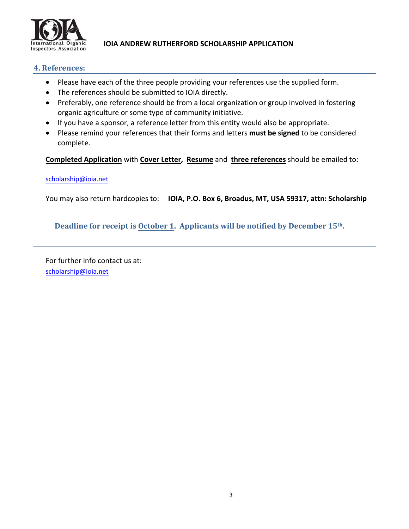

# **International Organic IOIA ANDREW RUTHERFORD SCHOLARSHIP APPLICATION**

#### **4. References:**

- Please have each of the three people providing your references use the supplied form.
- The references should be submitted to IOIA directly.
- Preferably, one reference should be from a local organization or group involved in fostering organic agriculture or some type of community initiative.
- If you have a sponsor, a reference letter from this entity would also be appropriate.
- Please remind your references that their forms and letters **must be signed** to be considered complete.

**Completed Application** with **Cover Letter, Resume** and **three references** should be emailed to:

#### [scholarship@ioia.net](mailto:scholarship@ioia.net)

You may also return hardcopies to: **IOIA, P.O. Box 6, Broadus, MT, USA 59317, attn: Scholarship**

## **Deadline for receipt is October 1. Applicants will be notified by December 15th.**

For further info contact us at: [scholarship@ioia.net](mailto:scholarship@ioia.net)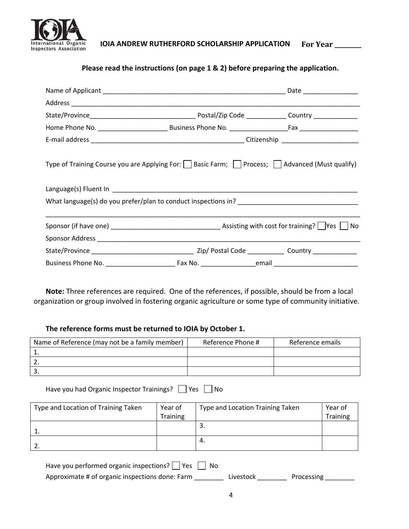

**International Organic IOIA ANDREW RUTHERFORD SCHOLARSHIP APPLICATION For Year \_\_\_\_\_\_\_\_\_**

**Please read the instructions (on page 1 & 2) before preparing the application.**

| Type of Training Course you are Applying For: $\Box$ Basic Farm; $\Box$ Process; $\Box$ Advanced (Must qualify) |  |  |  |  |  |  |
|-----------------------------------------------------------------------------------------------------------------|--|--|--|--|--|--|
|                                                                                                                 |  |  |  |  |  |  |
|                                                                                                                 |  |  |  |  |  |  |
|                                                                                                                 |  |  |  |  |  |  |
|                                                                                                                 |  |  |  |  |  |  |
|                                                                                                                 |  |  |  |  |  |  |
|                                                                                                                 |  |  |  |  |  |  |

**Note:** Three references are required. One of the references, if possible, should be from a local organization or group involved in fostering organic agriculture or some type of community initiative.

#### **The reference forms must be returned to IOIA by October 1.**

| Name of Reference (may not be a family member) | Reference Phone # | Reference emails |
|------------------------------------------------|-------------------|------------------|
|                                                |                   |                  |
|                                                |                   |                  |
|                                                |                   |                  |

Have you had Organic Inspector Trainings? Ves No

| Type and Location of Training Taken | Year of         | Type and Location Training Taken | Year of         |
|-------------------------------------|-----------------|----------------------------------|-----------------|
|                                     | <b>Training</b> |                                  | <b>Training</b> |
|                                     |                 | ، پ                              |                 |
|                                     |                 | 4.                               |                 |

| Have you performed organic inspections? $\vert$ Yes $\vert$ No |           |            |  |
|----------------------------------------------------------------|-----------|------------|--|
| Approximate # of organic inspections done: Farm                | Livestock | Processing |  |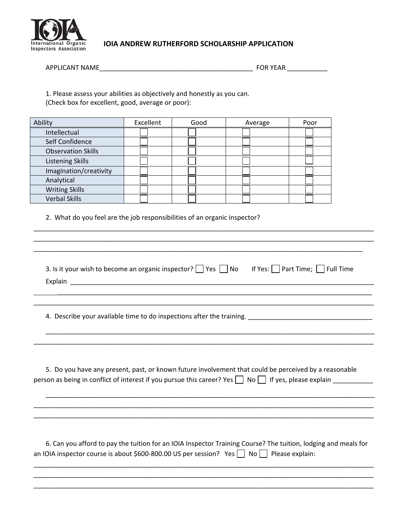

# **International Organic IOIA ANDREW RUTHERFORD SCHOLARSHIP APPLICATION**

| APPLICANT NAME |  |
|----------------|--|
|                |  |

 $\blacksquare$  FOR YEAR  $\blacksquare$ 

1. Please assess your abilities as objectively and honestly as you can. (Check box for excellent, good, average or poor):

| Ability                   | Excellent | Good | Average | Poor |
|---------------------------|-----------|------|---------|------|
| Intellectual              |           |      |         |      |
| Self Confidence           |           |      |         |      |
| <b>Observation Skills</b> |           |      |         |      |
| <b>Listening Skills</b>   |           |      |         |      |
| Imagination/creativity    |           |      |         |      |
| Analytical                |           |      |         |      |
| <b>Writing Skills</b>     |           |      |         |      |
| <b>Verbal Skills</b>      |           |      |         |      |

2. What do you feel are the job responsibilities of an organic inspector?

| 3. Is it your wish to become an organic inspector? Pes No If Yes: $\Box$ Part Time; $\Box$ Full Time                                                                                                                    |
|-------------------------------------------------------------------------------------------------------------------------------------------------------------------------------------------------------------------------|
|                                                                                                                                                                                                                         |
| 5. Do you have any present, past, or known future involvement that could be perceived by a reasonable<br>person as being in conflict of interest if you pursue this career? Yes   No   If yes, please explain _________ |
| 6. Can you afford to pay the tuition for an IOIA Inspector Training Course? The tuition, lodging and meals for<br>an IOIA inspector course is about \$600-800.00 US per session? Yes $\vert$ No $\vert$ Please explain: |
|                                                                                                                                                                                                                         |

\_\_\_\_\_\_\_\_\_\_\_\_\_\_\_\_\_\_\_\_\_\_\_\_\_\_\_\_\_\_\_\_\_\_\_\_\_\_\_\_\_\_\_\_\_\_\_\_\_\_\_\_\_\_\_\_\_\_\_\_\_\_\_\_\_\_\_\_\_\_\_\_\_\_\_\_\_\_\_\_\_\_\_\_\_\_\_\_\_\_\_\_\_

\_\_\_\_\_\_\_\_\_\_\_\_\_\_\_\_\_\_\_\_\_\_\_\_\_\_\_\_\_\_\_\_\_\_\_\_\_\_\_\_\_\_\_\_\_\_\_\_\_\_\_\_\_\_\_\_\_\_\_\_\_\_\_\_\_\_\_\_\_\_\_\_\_\_\_\_\_\_\_\_\_\_\_\_\_\_\_\_\_\_\_\_\_ \_\_\_\_\_\_\_\_\_\_\_\_\_\_\_\_\_\_\_\_\_\_\_\_\_\_\_\_\_\_\_\_\_\_\_\_\_\_\_\_\_\_\_\_\_\_\_\_\_\_\_\_\_\_\_\_\_\_\_\_\_\_\_\_\_\_\_\_\_\_\_\_\_\_\_\_\_\_\_\_\_\_\_\_\_\_\_\_\_\_\_\_\_